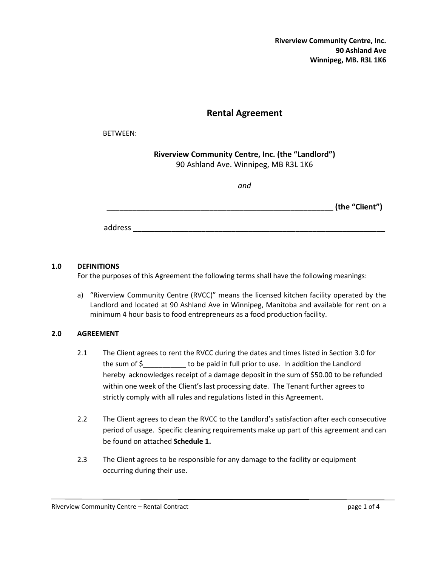**Riverview Community Centre, Inc. 90 Ashland Ave Winnipeg, MB. R3L 1K6**

## **Rental Agreement**

#### BETWEEN:

**Riverview Community Centre, Inc. (the "Landlord")** 90 Ashland Ave. Winnipeg, MB R3L 1K6

*and*

 $\qquad \qquad \textbf{(the "Client")}$ 

address  $\overline{a}$ 

#### **1.0 DEFINITIONS**

For the purposes of this Agreement the following terms shall have the following meanings:

a) "Riverview Community Centre (RVCC)" means the licensed kitchen facility operated by the Landlord and located at 90 Ashland Ave in Winnipeg, Manitoba and available for rent on a minimum 4 hour basis to food entrepreneurs as a food production facility.

## **2.0 AGREEMENT**

- 2.1 The Client agrees to rent the RVCC during the dates and times listed in Section 3.0 for the sum of \$ to be paid in full prior to use. In addition the Landlord hereby acknowledges receipt of a damage deposit in the sum of \$50.00 to be refunded within one week of the Client's last processing date. The Tenant further agrees to strictly comply with all rules and regulations listed in this Agreement.
- 2.2 The Client agrees to clean the RVCC to the Landlord's satisfaction after each consecutive period of usage. Specific cleaning requirements make up part of this agreement and can be found on attached **Schedule 1.**
- 2.3 The Client agrees to be responsible for any damage to the facility or equipment occurring during their use.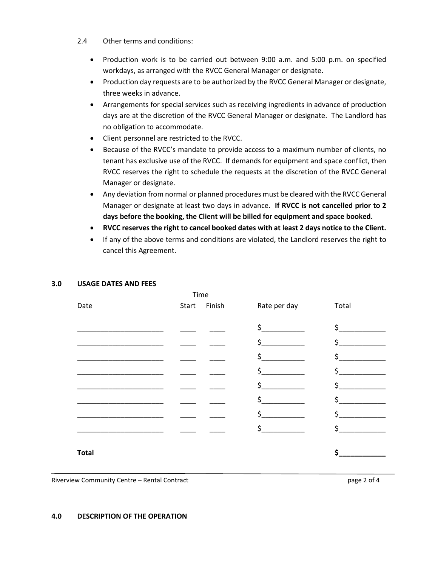- 2.4 Other terms and conditions:
	- Production work is to be carried out between 9:00 a.m. and 5:00 p.m. on specified workdays, as arranged with the RVCC General Manager or designate.
	- Production day requests are to be authorized by the RVCC General Manager or designate, three weeks in advance.
	- Arrangements for special services such as receiving ingredients in advance of production days are at the discretion of the RVCC General Manager or designate. The Landlord has no obligation to accommodate.
	- Client personnel are restricted to the RVCC.
	- Because of the RVCC's mandate to provide access to a maximum number of clients, no tenant has exclusive use of the RVCC. If demands for equipment and space conflict, then RVCC reserves the right to schedule the requests at the discretion of the RVCC General Manager or designate.
	- Any deviation from normal or planned procedures must be cleared with the RVCC General Manager or designate at least two days in advance. **If RVCC is not cancelled prior to 2 days before the booking, the Client will be billed for equipment and space booked.**
	- **RVCC reserves the right to cancel booked dates with at least 2 days notice to the Client.**
	- If any of the above terms and conditions are violated, the Landlord reserves the right to cancel this Agreement.

# Time Date Start Finish Rate per day Total  $\frac{1}{2}$  ,  $\frac{1}{2}$  ,  $\frac{1}{2}$  ,  $\frac{1}{2}$  ,  $\frac{1}{2}$  ,  $\frac{1}{2}$  ,  $\frac{1}{2}$  ,  $\frac{1}{2}$  ,  $\frac{1}{2}$  ,  $\frac{1}{2}$  ,  $\frac{1}{2}$  ,  $\frac{1}{2}$  ,  $\frac{1}{2}$  ,  $\frac{1}{2}$  ,  $\frac{1}{2}$  ,  $\frac{1}{2}$  ,  $\frac{1}{2}$  ,  $\frac{1}{2}$  ,  $\frac{1$ \_\_\_\_\_\_\_\_\_\_\_\_\_\_\_\_\_\_\_\_\_\_ \_\_\_\_ \_\_\_\_ \$\_\_\_\_\_\_\_\_\_\_\_ \$\_\_\_\_\_\_\_\_\_\_\_\_ \_\_\_\_\_\_\_\_\_\_\_\_\_\_\_\_\_\_\_\_\_\_ \_\_\_\_ \_\_\_\_ \$\_\_\_\_\_\_\_\_\_\_\_ \$\_\_\_\_\_\_\_\_\_\_\_\_  $\zeta$   $\zeta$   $\zeta$   $\zeta$   $\zeta$   $\zeta$   $\zeta$   $\zeta$   $\zeta$   $\zeta$   $\zeta$   $\zeta$   $\zeta$   $\zeta$   $\zeta$   $\zeta$   $\zeta$   $\zeta$   $\zeta$   $\zeta$   $\zeta$   $\zeta$   $\zeta$   $\zeta$   $\zeta$   $\zeta$   $\zeta$   $\zeta$   $\zeta$   $\zeta$   $\zeta$   $\zeta$   $\zeta$   $\zeta$   $\zeta$   $\zeta$   $\zeta$ \_\_\_\_\_\_\_\_\_\_\_\_\_\_\_\_\_\_\_\_\_\_ \_\_\_\_ \_\_\_\_ \$\_\_\_\_\_\_\_\_\_\_\_ \$\_\_\_\_\_\_\_\_\_\_\_\_ \_\_\_\_\_\_\_\_\_\_\_\_\_\_\_\_\_\_\_\_\_\_ \_\_\_\_ \_\_\_\_ \$\_\_\_\_\_\_\_\_\_\_\_ \$\_\_\_\_\_\_\_\_\_\_\_\_  $\begin{matrix} \texttt{S} & \texttt{S} \end{matrix}$  $\zeta$  , we can also define  $\zeta$ **Total \$\_\_\_\_\_\_\_\_\_\_\_\_**

#### **3.0 USAGE DATES AND FEES**

Riverview Community Centre – Rental Contract **page 2 of 4** and 2 of 4

#### **4.0 DESCRIPTION OF THE OPERATION**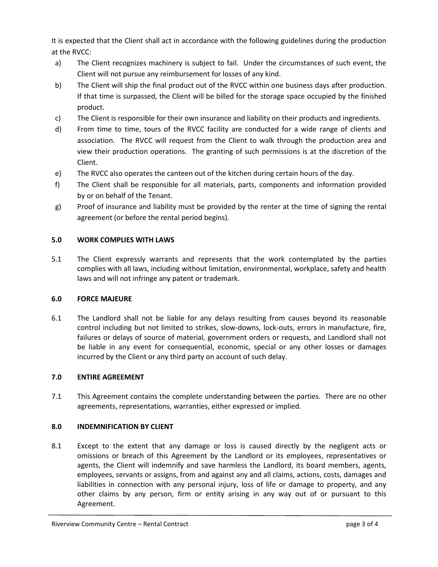It is expected that the Client shall act in accordance with the following guidelines during the production at the RVCC:

- a) The Client recognizes machinery is subject to fail. Under the circumstances of such event, the Client will not pursue any reimbursement for losses of any kind.
- b) The Client will ship the final product out of the RVCC within one business days after production. If that time is surpassed, the Client will be billed for the storage space occupied by the finished product.
- c) The Client is responsible for their own insurance and liability on their products and ingredients.
- d) From time to time, tours of the RVCC facility are conducted for a wide range of clients and association. The RVCC will request from the Client to walk through the production area and view their production operations. The granting of such permissions is at the discretion of the Client.
- e) The RVCC also operates the canteen out of the kitchen during certain hours of the day.
- f) The Client shall be responsible for all materials, parts, components and information provided by or on behalf of the Tenant.
- g) Proof of insurance and liability must be provided by the renter at the time of signing the rental agreement (or before the rental period begins).

## **5.0 WORK COMPLIES WITH LAWS**

5.1 The Client expressly warrants and represents that the work contemplated by the parties complies with all laws, including without limitation, environmental, workplace, safety and health laws and will not infringe any patent or trademark.

## **6.0 FORCE MAJEURE**

6.1 The Landlord shall not be liable for any delays resulting from causes beyond its reasonable control including but not limited to strikes, slow-downs, lock-outs, errors in manufacture, fire, failures or delays of source of material, government orders or requests, and Landlord shall not be liable in any event for consequential, economic, special or any other losses or damages incurred by the Client or any third party on account of such delay.

## **7.0 ENTIRE AGREEMENT**

7.1 This Agreement contains the complete understanding between the parties. There are no other agreements, representations, warranties, either expressed or implied.

## **8.0 INDEMNIFICATION BY CLIENT**

8.1 Except to the extent that any damage or loss is caused directly by the negligent acts or omissions or breach of this Agreement by the Landlord or its employees, representatives or agents, the Client will indemnify and save harmless the Landlord, its board members, agents, employees, servants or assigns, from and against any and all claims, actions, costs, damages and liabilities in connection with any personal injury, loss of life or damage to property, and any other claims by any person, firm or entity arising in any way out of or pursuant to this Agreement.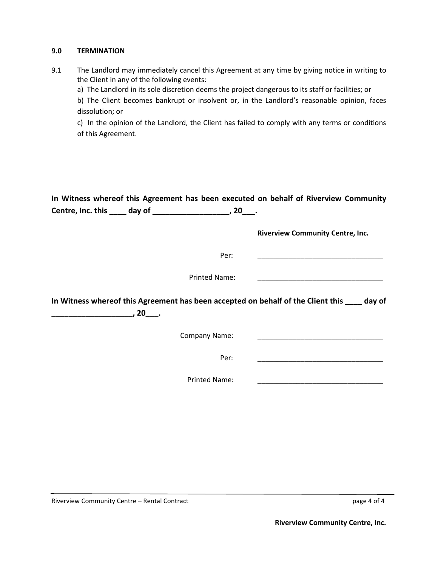#### **9.0 TERMINATION**

9.1 The Landlord may immediately cancel this Agreement at any time by giving notice in writing to the Client in any of the following events:

a) The Landlord in its sole discretion deems the project dangerous to its staff or facilities; or

b) The Client becomes bankrupt or insolvent or, in the Landlord's reasonable opinion, faces dissolution; or

c) In the opinion of the Landlord, the Client has failed to comply with any terms or conditions of this Agreement.

| In Witness whereof this Agreement has been executed on behalf of Riverview Community<br>Centre, Inc. this ____ day of ______________________, 20___. |                                         |
|------------------------------------------------------------------------------------------------------------------------------------------------------|-----------------------------------------|
|                                                                                                                                                      | <b>Riverview Community Centre, Inc.</b> |
| Per:                                                                                                                                                 |                                         |
| <b>Printed Name:</b>                                                                                                                                 |                                         |
| In Witness whereof this Agreement has been accepted on behalf of the Client this ____ day of<br>, 20____.                                            |                                         |
| Company Name:                                                                                                                                        |                                         |
| Per:                                                                                                                                                 |                                         |
| <b>Printed Name:</b>                                                                                                                                 |                                         |